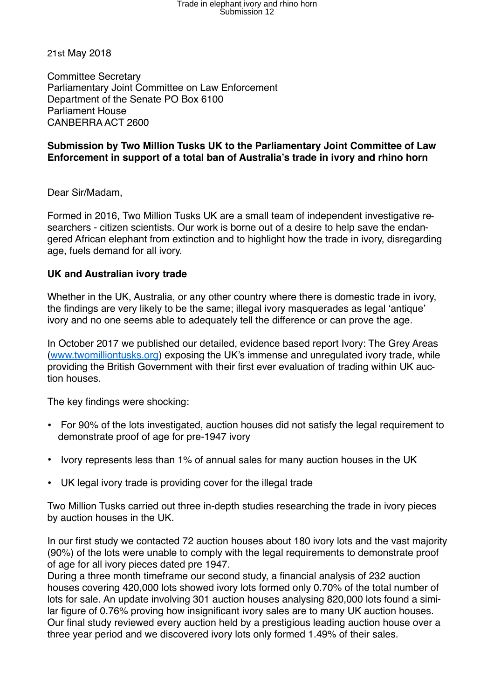# Trade in elephant ivory and rhino horn<br>Submission 12

21st May 2018

Committee Secretary Parliamentary Joint Committee on Law Enforcement Department of the Senate PO Box 6100 Parliament House CANBERRA ACT 2600

#### **Submission by Two Million Tusks UK to the Parliamentary Joint Committee of Law Enforcement in support of a total ban of Australia's trade in ivory and rhino horn**

Dear Sir/Madam,

Formed in 2016, Two Million Tusks UK are a small team of independent investigative researchers - citizen scientists. Our work is borne out of a desire to help save the endangered African elephant from extinction and to highlight how the trade in ivory, disregarding age, fuels demand for all ivory.

#### **UK and Australian ivory trade**

Whether in the UK, Australia, or any other country where there is domestic trade in ivory, the findings are very likely to be the same; illegal ivory masquerades as legal 'antique' ivory and no one seems able to adequately tell the difference or can prove the age.

In October 2017 we published our detailed, evidence based report Ivory: The Grey Areas ([www.twomilliontusks.org](http://www.twomilliontusks.org/)) exposing the UK's immense and unregulated ivory trade, while providing the British Government with their first ever evaluation of trading within UK auction houses.

The key findings were shocking:

- For 90% of the lots investigated, auction houses did not satisfy the legal requirement to demonstrate proof of age for pre-1947 ivory
- Ivory represents less than 1% of annual sales for many auction houses in the UK
- UK legal ivory trade is providing cover for the illegal trade

Two Million Tusks carried out three in-depth studies researching the trade in ivory pieces by auction houses in the UK.

In our first study we contacted 72 auction houses about 180 ivory lots and the vast majority (90%) of the lots were unable to comply with the legal requirements to demonstrate proof of age for all ivory pieces dated pre 1947.

During a three month timeframe our second study, a financial analysis of 232 auction houses covering 420,000 lots showed ivory lots formed only 0.70% of the total number of lots for sale. An update involving 301 auction houses analysing 820,000 lots found a similar figure of 0.76% proving how insignificant ivory sales are to many UK auction houses. Our final study reviewed every auction held by a prestigious leading auction house over a three year period and we discovered ivory lots only formed 1.49% of their sales.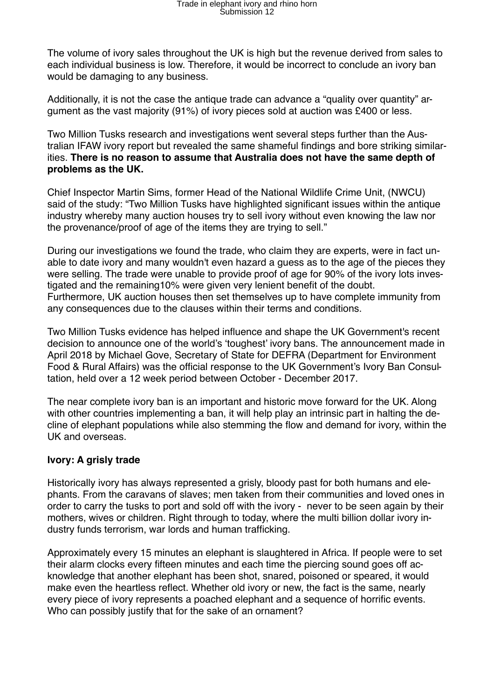The volume of ivory sales throughout the UK is high but the revenue derived from sales to each individual business is low. Therefore, it would be incorrect to conclude an ivory ban would be damaging to any business.

Additionally, it is not the case the antique trade can advance a "quality over quantity" argument as the vast majority (91%) of ivory pieces sold at auction was £400 or less.

Two Million Tusks research and investigations went several steps further than the Australian IFAW ivory report but revealed the same shameful findings and bore striking similarities. **There is no reason to assume that Australia does not have the same depth of problems as the UK.**

Chief Inspector Martin Sims, former Head of the National Wildlife Crime Unit, (NWCU) said of the study: "Two Million Tusks have highlighted significant issues within the antique industry whereby many auction houses try to sell ivory without even knowing the law nor the provenance/proof of age of the items they are trying to sell."

During our investigations we found the trade, who claim they are experts, were in fact unable to date ivory and many wouldn't even hazard a guess as to the age of the pieces they were selling. The trade were unable to provide proof of age for 90% of the ivory lots investigated and the remaining10% were given very lenient benefit of the doubt. Furthermore, UK auction houses then set themselves up to have complete immunity from any consequences due to the clauses within their terms and conditions.

Two Million Tusks evidence has helped influence and shape the UK Government's recent decision to announce one of the world's 'toughest' ivory bans. The announcement made in April 2018 by Michael Gove, Secretary of State for DEFRA (Department for Environment Food & Rural Affairs) was the official response to the UK Government's Ivory Ban Consultation, held over a 12 week period between October - December 2017.

The near complete ivory ban is an important and historic move forward for the UK. Along with other countries implementing a ban, it will help play an intrinsic part in halting the decline of elephant populations while also stemming the flow and demand for ivory, within the UK and overseas.

### **Ivory: A grisly trade**

Historically ivory has always represented a grisly, bloody past for both humans and elephants. From the caravans of slaves; men taken from their communities and loved ones in order to carry the tusks to port and sold off with the ivory - never to be seen again by their mothers, wives or children. Right through to today, where the multi billion dollar ivory industry funds terrorism, war lords and human trafficking.

Approximately every 15 minutes an elephant is slaughtered in Africa. If people were to set their alarm clocks every fifteen minutes and each time the piercing sound goes off acknowledge that another elephant has been shot, snared, poisoned or speared, it would make even the heartless reflect. Whether old ivory or new, the fact is the same, nearly every piece of ivory represents a poached elephant and a sequence of horrific events. Who can possibly justify that for the sake of an ornament?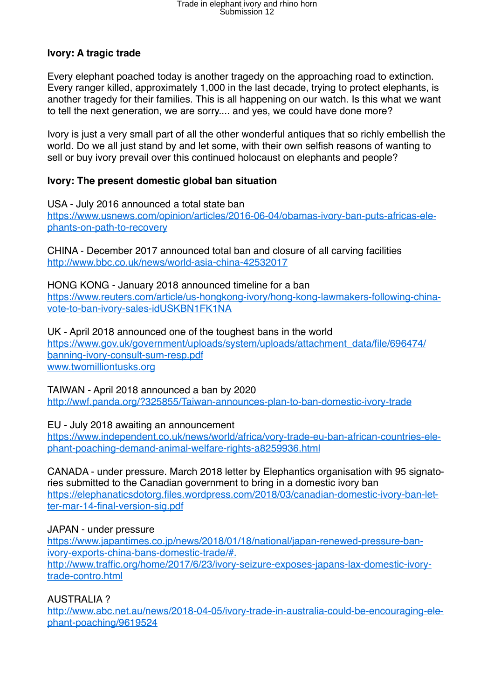# Trade in elephant ivory and rhino horn<br>Submission 12

### **Ivory: A tragic trade**

Every elephant poached today is another tragedy on the approaching road to extinction. Every ranger killed, approximately 1,000 in the last decade, trying to protect elephants, is another tragedy for their families. This is all happening on our watch. Is this what we want to tell the next generation, we are sorry.... and yes, we could have done more?

Ivory is just a very small part of all the other wonderful antiques that so richly embellish the world. Do we all just stand by and let some, with their own selfish reasons of wanting to sell or buy ivory prevail over this continued holocaust on elephants and people?

### **Ivory: The present domestic global ban situation**

USA - July 2016 announced a total state ban [https://www.usnews.com/opinion/articles/2016-06-04/obamas-ivory-ban-puts-africas-ele](https://www.usnews.com/opinion/articles/2016-06-04/obamas-ivory-ban-puts-africas-elephants-on-path-to-recovery)[phants-on-path-to-recovery](https://www.usnews.com/opinion/articles/2016-06-04/obamas-ivory-ban-puts-africas-elephants-on-path-to-recovery)

CHINA - December 2017 announced total ban and closure of all carving facilities <http://www.bbc.co.uk/news/world-asia-china-42532017>

HONG KONG - January 2018 announced timeline for a ban [https://www.reuters.com/article/us-hongkong-ivory/hong-kong-lawmakers-following-china](https://www.reuters.com/article/us-hongkong-ivory/hong-kong-lawmakers-following-china-vote-to-ban-ivory-sales-idUSKBN1FK1NA)[vote-to-ban-ivory-sales-idUSKBN1FK1NA](https://www.reuters.com/article/us-hongkong-ivory/hong-kong-lawmakers-following-china-vote-to-ban-ivory-sales-idUSKBN1FK1NA)

UK - April 2018 announced one of the toughest bans in the world [https://www.gov.uk/government/uploads/system/uploads/attachment\\_data/file/696474/](https://www.gov.uk/government/uploads/system/uploads/attachment_data/file/696474/banning-ivory-consult-sum-resp.pdf) [banning-ivory-consult-sum-resp.pdf](https://www.gov.uk/government/uploads/system/uploads/attachment_data/file/696474/banning-ivory-consult-sum-resp.pdf) [www.twomilliontusks.org](http://www.twomilliontusks.org/)

TAIWAN - April 2018 announced a ban by 2020 <http://wwf.panda.org/?325855/Taiwan-announces-plan-to-ban-domestic-ivory-trade>

EU - July 2018 awaiting an announcement

[https://www.independent.co.uk/news/world/africa/vory-trade-eu-ban-african-countries-ele](https://www.independent.co.uk/news/world/africa/vory-trade-eu-ban-african-countries-elephant-poaching-demand-animal-welfare-rights-a8259936.html)[phant-poaching-demand-animal-welfare-rights-a8259936.html](https://www.independent.co.uk/news/world/africa/vory-trade-eu-ban-african-countries-elephant-poaching-demand-animal-welfare-rights-a8259936.html)

CANADA - under pressure. March 2018 letter by Elephantics organisation with 95 signatories submitted to the Canadian government to bring in a domestic ivory ban [https://elephanaticsdotorg.files.wordpress.com/2018/03/canadian-domestic-ivory-ban-let](https://elephanaticsdotorg.files.wordpress.com/2018/03/canadian-domestic-ivory-ban-letter-mar-14-final-version-sig.pdf)[ter-mar-14-final-version-sig.pdf](https://elephanaticsdotorg.files.wordpress.com/2018/03/canadian-domestic-ivory-ban-letter-mar-14-final-version-sig.pdf)

#### JAPAN - under pressure

[https://www.japantimes.co.jp/news/2018/01/18/national/japan-renewed-pressure-ban](https://www.japantimes.co.jp/news/2018/01/18/national/japan-renewed-pressure-ban-ivory-exports-china-bans-domestic-trade/%23.Wvy1oorTWhA)[ivory-exports-china-bans-domestic-trade/#.](https://www.japantimes.co.jp/news/2018/01/18/national/japan-renewed-pressure-ban-ivory-exports-china-bans-domestic-trade/%23.Wvy1oorTWhA) [http://www.traffic.org/home/2017/6/23/ivory-seizure-exposes-japans-lax-domestic-ivory](http://www.traffic.org/home/2017/6/23/ivory-seizure-exposes-japans-lax-domestic-ivory-trade-contro.html)[trade-contro.html](http://www.traffic.org/home/2017/6/23/ivory-seizure-exposes-japans-lax-domestic-ivory-trade-contro.html)

AUSTRALIA ?

[http://www.abc.net.au/news/2018-04-05/ivory-trade-in-australia-could-be-encouraging-ele](http://www.abc.net.au/news/2018-04-05/ivory-trade-in-australia-could-be-encouraging-elephant-poaching/9619524)[phant-poaching/9619524](http://www.abc.net.au/news/2018-04-05/ivory-trade-in-australia-could-be-encouraging-elephant-poaching/9619524)